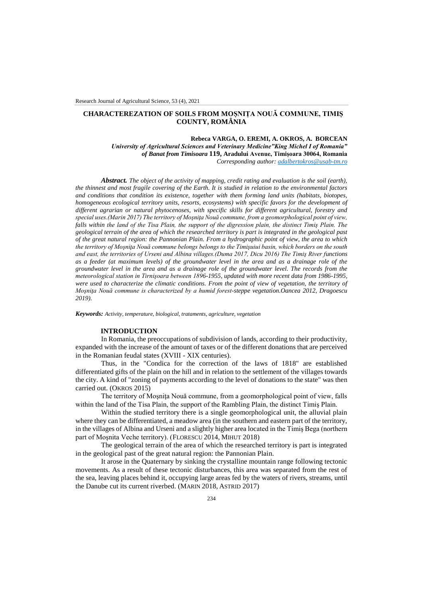# **CHARACTEREZATION OF SOILS FROM MOȘNIȚA NOUĂ COMMUNE, TIMIȘ COUNTY, ROMÂNIA**

**Rebeca VARGA, O. EREMI, A. OKROS, A. BORCEAN**  *University of Agricultural Sciences and Veterinary MedicineˮKing Michel I of Romaniaˮ of Banat from Timisoara* **119, Aradului Avenue, Timișoara 30064, Romania** *Corresponding author: [adalbertokros@usab-tm.ro](mailto:adalbertokros@usab-tm.ro)*

*Abstract. The object of the activity of mapping, credit rating and evaluation is the soil (earth), the thinnest and most fragile covering of the Earth. It is studied in relation to the environmental factors and conditions that condition its existence, together with them forming land units (habitats, biotopes, homogeneous ecological territory units, resorts, ecosystems) with specific favors for the development of different agrarian or natural phytocenoses, with specific skills for different agricultural, forestry and special uses.(Marin 2017) The territory of Moşniţa Nouă commune, from a geomorphological point of view, falls within the land of the Tisa Plain, the support of the digression plain, the distinct Timiş Plain. The geological terrain of the area of which the researched territory is part is integrated in the geological past of the great natural region: the Pannonian Plain. From a hydrographic point of view, the area to which the territory of Moşniţa Nouă commune belongs belongs to the Timişuiui basin, which borders on the south and east, the territories of Urseni and Albina villages.(Duma 2017, Dicu 2016) The Timiş River functions as a feeder (at maximum levels) of the groundwater level in the area and as a drainage role of the groundwater level in the area and as a drainage role of the groundwater level. The records from the meteorological station in Tirnişoara between 1896-1955, updated with more recent data from 1986-1995,*  were used to characterize the climatic conditions. From the point of view of vegetation, the territory of *Moşniţa Nouă commune is characterized by a humid forest-steppe vegetation.Oancea 2012, Dragoescu 2019).*

*Keywords: Activity, temperature, biological, trataments, agriculture, vegetation*

## **INTRODUCTION**

In Romania, the preoccupations of subdivision of lands, according to their productivity, expanded with the increase of the amount of taxes or of the different donations that are perceived in the Romanian feudal states (XVIII - XIX centuries).

Thus, in the "Condica for the correction of the laws of 1818" are established differentiated gifts of the plain on the hill and in relation to the settlement of the villages towards the city. A kind of "zoning of payments according to the level of donations to the state" was then carried out. (OKROS 2015)

The territory of Moşniţa Nouă commune, from a geomorphological point of view, falls within the land of the Tisa Plain, the support of the Rambling Plain, the distinct Timiş Plain.

Within the studied territory there is a single geomorphological unit, the alluvial plain where they can be differentiated, a meadow area (in the southern and eastern part of the territory, in the villages of Albina and Urseni and a slightly higher area located in the Timiş Bega (northern part of Moşnita Veche territory). (FLORESCU 2014, MIHUT 2018)

The geological terrain of the area of which the researched territory is part is integrated in the geological past of the great natural region: the Pannonian Plain.

It arose in the Quaternary by sinking the crystalline mountain range following tectonic movements. As a result of these tectonic disturbances, this area was separated from the rest of the sea, leaving places behind it, occupying large areas fed by the waters of rivers, streams, until the Danube cut its current riverbed. (MARIN 2018, ASTRID 2017)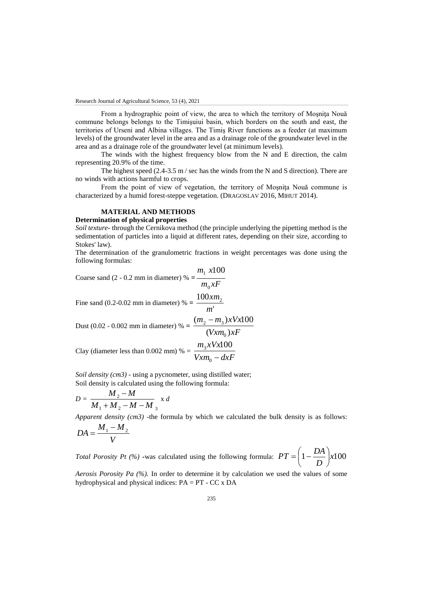From a hydrographic point of view, the area to which the territory of Mosnita Nouă commune belongs belongs to the Timişuiui basin, which borders on the south and east, the territories of Urseni and Albina villages. The Timiş River functions as a feeder (at maximum levels) of the groundwater level in the area and as a drainage role of the groundwater level in the area and as a drainage role of the groundwater level (at minimum levels).

The winds with the highest frequency blow from the N and E direction, the calm representing 20.9% of the time.

The highest speed  $(2.4-3.5 \text{ m/s})$  sec has the winds from the N and S direction). There are no winds with actions harmful to crops.

From the point of view of vegetation, the territory of Mosnita Nouă commune is characterized by a humid forest-steppe vegetation. (DRAGOSLAV 2016, MIHUT 2014).

## **MATERIAL AND METHODS**

## **Determination of physical properties**

*Soil texture***-** through the Cernikova method (the principle underlying the pipetting method is the sedimentation of particles into a liquid at different rates, depending on their size, according to Stokes' law).

The determination of the granulometric fractions in weight percentages was done using the following formulas:

Coarse sand (2 - 0.2 mm in diameter) % =  $\frac{1}{m_0 x F}$  $m_1$  *x*  $\mathbf{0}$  $x100$ 

Fine sand (0.2-0.02 mm in diameter) % =  $\frac{100 \times m_2}{m_1}$ *m xm*

Dust (0.02 - 0.002 mm in diameter) % =  $\frac{2}{(V x m_0)xF}$  $m_2 - m_3$ )xVx  $(Vxm_0)$  $(m_2 - m_3)xVx100$  $\mathbf{0}$  $2 - m_3$  $m_3$ *xVx*  $3 xVx100$ 

Clay (diameter less than 0.002 mm) % =  $\frac{3.1 \times 10^{-4} \text{ J}}{V x m_0 - d x F}$  $\frac{1}{0}$ 

*Soil density (cm3)* - using a pycnometer, using distilled water; Soil density is calculated using the following formula:

$$
D = \frac{M_2 - M}{M_1 + M_2 - M - M_3} \times d
$$

*Apparent density (cm3)* -the formula by which we calculated the bulk density is as follows:

$$
DA = \frac{M_1 - M_2}{V}
$$

*Total Porosity Pt (%)* •was calculated using the following formula:  $PT = \left(1 - \frac{271}{\pi}\right) \times 100$ *D*  $PT = \left(1 - \frac{DA}{R}\right)$  $\big)$  $\left(1-\frac{DA}{D}\right)$  $\setminus$  $=\left(1 - \frac{1}{2}\right)$ 

*Aerosis Porosity Pa (%).* In order to determine it by calculation we used the values of some hydrophysical and physical indices:  $PA = PT - CC \times DA$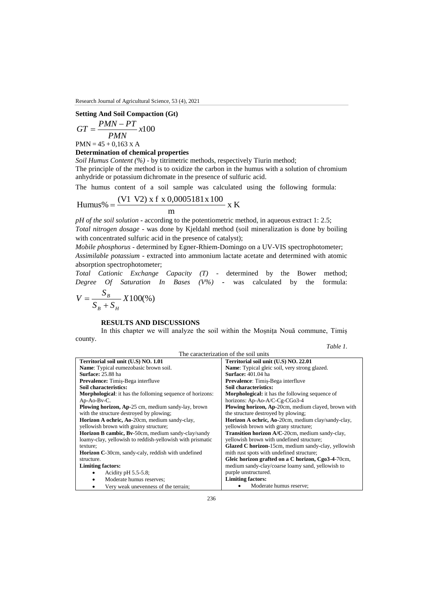### **Setting And Soil Compaction (Gt)**

$$
GT = \frac{PMN - PT}{PMN}x100
$$

 $PMN = 45 + 0.163 \text{ X A}$ 

# **Determination of chemical properties**

*Soil Humus Content (%)* - by titrimetric methods, respectively Tiurin method;

The principle of the method is to oxidize the carbon in the humus with a solution of chromium anhydride or potassium dichromate in the presence of sulfuric acid.

The humus content of a soil sample was calculated using the following formula:

Humus% = 
$$
\frac{(V1 V2) x f x 0,0005181x 100}{m} x K
$$

*pH of the soil solution* **-** according to the potentiometric method, in aqueous extract 1: 2.5;

*Total nitrogen dosage* - was done by Kjeldahl method (soil mineralization is done by boiling with concentrated sulfuric acid in the presence of catalyst);

*Mobile phosphorus* - determined by Egner-Rhiem-Domingo on a UV-VIS spectrophotometer; *Assimilable potassium* - extracted into ammonium lactate acetate and determined with atomic absorption spectrophotometer;

*Total Cationic Exchange Capacity (T)* - determined by the Bower method; *Degree Of Saturation In Bases (V%)* **-** was calculated by the formula:

$$
V = \frac{S_B}{S_B + S_H} X100\%
$$

## **RESULTS AND DISCUSSIONS**

In this chapter we will analyze the soil within the Moșnița Nouă commune, Timiș county.

*Table 1.*

| The caracterization of the soil units                            |                                                        |  |
|------------------------------------------------------------------|--------------------------------------------------------|--|
| Territorial soil unit (U.S) NO. 1.01                             | Territorial soil unit (U.S) NO. 22.01                  |  |
| Name: Typical eumezobasic brown soil.                            | <b>Name:</b> Typical gleic soil, very strong glazed.   |  |
| Surface: 25.88 ha                                                | <b>Surface:</b> 401.04 ha                              |  |
| Prevalence: Timis-Bega interfluve                                | <b>Prevalence:</b> Timis-Bega interfluve               |  |
| Soil characteristics:                                            | Soil characteristics:                                  |  |
| <b>Morphological:</b> it has the folloming sequence of horizons: | <b>Morphological:</b> it has the following sequence of |  |
| $Ap-Ao-Bv-C.$                                                    | horizons: Ap-Ao-A/C-Cg-CGo3-4                          |  |
| Plowing horizon, Ap-25 cm, medium sandy-lay, brown               | Plowing horizon, Ap-20cm, medium clayed, brown with    |  |
| with the structure destroyed by plowing;                         | the structure destroyed by plowing;                    |  |
| Horizon A ochric, Ao-20cm, medium sandy-clay,                    | Horizon A ochric, Ao-20cm, medium clay/sandy-clay,     |  |
| yellowish brown with grainy structure;                           | yellowish brown with grany structure;                  |  |
| Horizon B cambic, Bv-50cm, medium sandy-clay/sandy               | Transition horizon A/C-20cm, medium sandy-clay,        |  |
| loamy-clay, yellowish to reddish-yellowish with prismatic        | yellowish brown with undefined structure;              |  |
| texture;                                                         | Glazed C horizon-15cm, medium sandy-clay, yellowish    |  |
| <b>Horizon C-30cm, sandy-caly, reddish with undefined</b>        | mith rust spots with undefined structure;              |  |
| structure.                                                       | Gleic horizon grafted on a C horizon, Cgo3-4-70cm,     |  |
| <b>Limiting factors:</b>                                         | medium sandy-clay/coarse loamy sand, yellowish to      |  |
| Acidity pH $5.5-5.8$ ;                                           | purple unstructured.                                   |  |
| Moderate humus reserves;<br>٠                                    | <b>Limiting factors:</b>                               |  |
| Very weak unevenness of the terrain;                             | Moderate humus reserve;                                |  |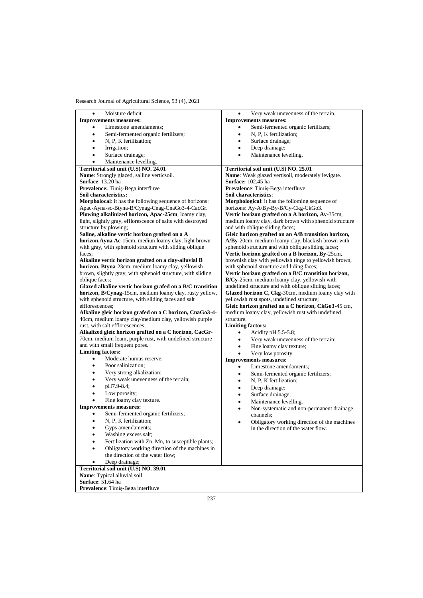| Moisture deficit<br>$\bullet$                               | Very weak unevenness of the terrain.<br>٠                                                |
|-------------------------------------------------------------|------------------------------------------------------------------------------------------|
| <b>Improvements measures:</b>                               | <b>Improvements measures:</b>                                                            |
| Limestone amendaments;                                      | Semi-fermented organic fertilizers;                                                      |
| Semi-fermented organic fertilizers;<br>$\bullet$            | N, P, K fertilization;<br>٠                                                              |
| N, P, K fertilization;<br>$\bullet$                         | Surface drainage;<br>$\bullet$                                                           |
| Irrigation;<br>٠                                            | Deep drainage;<br>$\bullet$                                                              |
| Surface drainage;                                           | Maintenance levelling.<br>$\bullet$                                                      |
| Maintenance levelling.                                      |                                                                                          |
| Territorial soil unit (U.S) NO. 24.01                       | Territorial soil unit (U.S) NO. 25.01                                                    |
| Name: Strongly glazed, salline verticsoil.                  | Name: Weak glazed vertisoil, moderately levigate.                                        |
| Surface: 13.20 ha                                           | <b>Surface: 102.45 ha</b>                                                                |
| Prevalence: Timiș-Bega interfluve                           | Prevalence: Timiș-Bega interfluve                                                        |
| Soil characteristics:                                       | Soil characteristics:                                                                    |
| Morpholocal: it has the following sequence of horizons:     | Morphological: it has the folloming sequence of                                          |
| Apac-Ayna-sc-Btyna-B/Cynag-Cnag-CnaGo3-4-CacGr.             | horizons: Ay-A/By-By-B/Cy-Ckg-CkGo3.                                                     |
| Plowing alkalinized horizon, Apac-25cm, loamy clay,         | Vertic horizon grafted on a A horizon, Ay-35cm,                                          |
| light, slightly gray, efflorescence of salts with destroyed | medium loamy clay, dark brown with sphenoid structure                                    |
| structure by plowing;                                       | and with oblique sliding faces;                                                          |
| Saline, alkaline vertic horizon grafted on a A              | Gleic horizon grafted on an A/B transition horizon,                                      |
| horizon, Ayna Ac-15cm, mediun loamy clay, light brown       | A/By-20cm, medium loamy clay, blackish brown with                                        |
| with gray, with sphenoid structure with sliding oblique     | sphenoid structure and with oblique sliding faces;                                       |
| faces;                                                      | Vertic horizon grafted on a B horizon, By-25cm,                                          |
| Alkaline vertic horizon grafted on a clay-alluvial B        | brownish clay with yellowish tinge to yellowish brown,                                   |
| horizon, Btyna-23cm, medium loamy clay, yellowish           | with sphenoid structure and liding faces;                                                |
| brown, slightly gray, with sphenoid structure, with sliding | Vertic horizon grafted on a B/C transition horizon,                                      |
| oblique faces;                                              |                                                                                          |
|                                                             | B/Cy-25cm, medium loamy clay, yellowish with                                             |
| Glazed alkaline vertic horizon grafed on a B/C transition   | undefined structure and with oblique sliding faces;                                      |
| horizon, B/Cynag-15cm, medium loamy clay, rusty yellow,     | Glazed horizon C, Ckg-30cm, medium loamy clay with                                       |
| with sphenoid structure, with sliding faces and salt        | yellowish rust spots, undefined structure;                                               |
| efflorescences;                                             | Gleic horizon grafted on a C horizon, CkGo3-45 cm,                                       |
| Alkaline gleic horizon grafed on a C horizon, CnaGo3-4-     | medium loamy clay, yellowish rust with undefined                                         |
| 40cm, medium loamy clay/medium clay, yellowish purple       | structure.                                                                               |
| rust, with salt efflorescences;                             | <b>Limiting factors:</b>                                                                 |
| Alkalized gleic horizon grafted on a C horizon, CacGr-      | Acidity pH 5.5-5.8;<br>٠                                                                 |
| 70cm, medium loam, purple rust, with undefined structure    | Very weak unevenness of the terrain;<br>$\bullet$                                        |
| and with small frequent pores.                              | Fine loamy clay texture;<br>٠                                                            |
| <b>Limiting factors:</b>                                    | Very low porosity.<br>$\bullet$                                                          |
| Moderate humus reserve;                                     | <b>Improvements measures:</b>                                                            |
| Poor salinization;<br>٠                                     | Limestone amendaments;<br>٠                                                              |
| Very strong alkalization;<br>٠                              | Semi-fermented organic fertilizers;<br>٠                                                 |
| Very weak unevenness of the terrain;<br>٠                   | N, P, K fertilization;<br>$\bullet$                                                      |
| pH7.9-8.4;<br>$\bullet$                                     | Deep drainage;<br>$\bullet$                                                              |
| Low porosity;<br>٠                                          | Surface drainage;<br>$\bullet$                                                           |
| Fine loamy clay texture.<br>$\bullet$                       | Maintenance levelling.<br>٠                                                              |
| <b>Improvements measures:</b>                               | Non-systematic and non-permanent drainage<br>$\bullet$                                   |
| Semi-fermented organic fertilizers;                         | channels:                                                                                |
| N, P, K fertilization;<br>$\bullet$                         |                                                                                          |
| Gyps amendaments;                                           | Obligatory working direction of the machines<br>٠<br>in the direction of the water flow. |
| Washing excess salt;                                        |                                                                                          |
| Fertilization with Zn, Mn, to susceptible plants;           |                                                                                          |
|                                                             |                                                                                          |
| Obligatory working direction of the machines in             |                                                                                          |
| the direction of the water flow;                            |                                                                                          |
| Deep drainage;<br>٠                                         |                                                                                          |
| Territorial soil unit (U.S) NO. 39.01                       |                                                                                          |
| Name: Typical alluvial soil.                                |                                                                                          |
| Surface: 51.64 ha                                           |                                                                                          |
| Prevalence: Timiș-Bega interfluve                           |                                                                                          |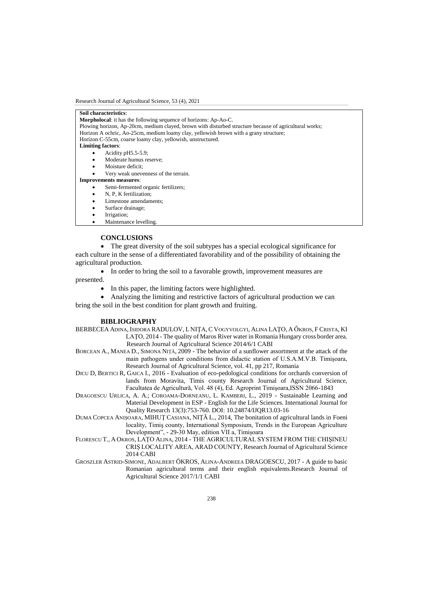| Soil characteristics:                                                                                  |  |
|--------------------------------------------------------------------------------------------------------|--|
| <b>Morpholocal:</b> it has the following sequence of horizons: Ap-Ao-C.                                |  |
| Plowing horizon, Ap-20cm, medium clayed, brown with disturbed structure because of agricultural works; |  |
| Horizon A ochric, Ao-25cm, medium loamy clay, yellowish brown with a grany structure;                  |  |
| Horizon C-55cm, coarse loamy clay, yellowish, unstructured.                                            |  |
| <b>Limiting factors:</b>                                                                               |  |
| Acidity $pH5.5-5.9$ ;                                                                                  |  |
| Moderate humus reserve;<br>$\bullet$                                                                   |  |
| Moisture deficit;                                                                                      |  |
| Very weak unevenness of the terrain.                                                                   |  |
| <b>Improvements measures:</b>                                                                          |  |
| Semi-fermented organic fertilizers;                                                                    |  |
| N, P, K fertilization;<br>$\bullet$                                                                    |  |
| Limestone amendaments:<br>$\bullet$                                                                    |  |
| Surface drainage;                                                                                      |  |
| Irrigation;<br>٠                                                                                       |  |
| Maintenance levelling.                                                                                 |  |

#### **CONCLUSIONS**

 The great diversity of the soil subtypes has a special ecological significance for each culture in the sense of a differentiated favorability and of the possibility of obtaining the agricultural production.

• In order to bring the soil to a favorable growth, improvement measures are

presented.

• In this paper, the limiting factors were highlighted.

 Analyzing the limiting and restrictive factors of agricultural production we can bring the soil in the best condition for plant growth and fruiting.

#### **BIBLIOGRAPHY**

- BERBECEA ADINA, ISIDORA RADULOV, L NIŢA, C VOGYVOLGYI, ALINA LAŢO, A ŐKROS, F CRISTA, KI LAŢO, 2014 - The quality of Maros River water in Romania Hungary cross border area. Research Journal of Agricultural Science 2014/6/1 CABI
- BORCEAN A., MANEA D., SIMONA NIŢĂ, 2009 The behavior of a sunflower assortment at the attack of the main pathogens under conditions from didactic station of U.S.A.M.V.B. Timişoara, Research Journal of Agricultural Science, vol. 41, pp 217, Romania
- DICU D, BERTICI R, GAICA I., 2016 Evaluation of eco-pedological conditions for orchards conversion of lands from Moravita, Timis county Research Journal of Agricultural Science, Facultatea de Agricultură, Vol. 48 (4), Ed. Agroprint Timişoara,ISSN 2066-1843
- DRAGOESCU URLICA, A. A.; COROAMA-DORNEANU, L. KAMBERI, L., 2019 Sustainable Learning and Material Development in ESP - English for the Life Sciences. International Journal for Quality Research 13(3):753-760. DOI: 10.24874/IJQR13.03-16
- DUMA COPCEA ANIȘOARA, MIHUŢ CASIANA, NIŢĂ L., 2014, The bonitation of agricultural lands in Foeni locality, Timiş county, International Symposium, Trends in the European Agriculture Development", - 29-30 May, edition VII a, Timișoara
- FLORESCU T., A OKROS, LAȚO ALINA, 2014 THE AGRICULTURAL SYSTEM FROM THE CHIȘINEU CRIȘ LOCALITY AREA, ARAD COUNTY, Research Journal of Agricultural Science 2014 CABI
- GROSZLER ASTRID-SIMONE, ADALBERT ÖKROS, ALINA-ANDREEA DRAGOESCU, 2017 A guide to basic Romanian agricultural terms and their english equivalents.Research Journal of Agricultural Science 2017/1/1 CABI